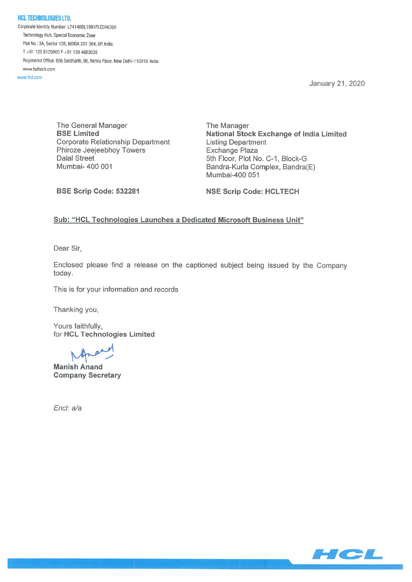NCL TECHNOLOGIES LTD Corporate Identity Number: L741400L1991PLC046369 Technology Hub, Special Economic Zone Plot No: 3A, Sector 126, NOIDA 201 304, UP, India. T+91 1206125000F+91 1204683030 Registered Office: 806 Siddharth, 96, Nehru Place, New Delhi-110019, India www.hcltech.com

www.hcl.com

January 21, 2020

The General Manager The Manager Corporate Relationship Department Listing Department Phiroze Jeejeebhoy Towers<br>
Dalal Street<br>
5th Floor. Plot No Dalal Street 5th Floor, Plot No. C-1, Block-G<br>Mumbai- 400 001 Bandra-Kurla Complex, Bandra

BSE Limited **National Stock Exchange of India Limited** Bandra-Kurla Complex, Bandra(E) Mumbai-400 051

BSE Scrip Code: 532281 NSE Scrip Code: HCLTECH

## Sub: "HCL Technologies Launches a Dedicated Microsoft Business Unit"

Dear Sir,

Enclosed please find a release on the captioned subject being issued by the Company today.

This is for your information and records

Thanking you,

Yours faithfully, for HCL Technologies Limited

Manish Anand Company Secretary

End: a/a

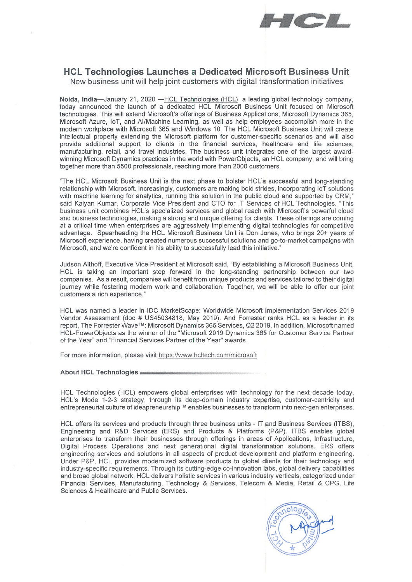

# HCL Technologies Launches a Dedicated Microsoft Business Unit

New business unit will help joint customers with digital transformation initiatives

Noida, India—January 21, 2020 —HCL Technologies (HCL), a leading global technology company, today announced the launch of a dedicated HCL Microsoft Business Unit focused on Microsoft technologies. This will extend Microsoft's offerings of Business Applications, Microsoft Dynamics 365, Microsoft Azure, loT, and Al/Machine Learning, as well as help employees accomplish more in the modern workplace with Microsoft 365 and Windows 10. The HCL Microsoft Business Unit will create intellectual property extending the Microsoft platform for customer-specific scenarios and will also provide additional support to clients in the financial services, healthcare and life sciences, manufacturing, retail, and travel industries. The business unit integrates one of the largest awardwinning Microsoft Dynamics practices in the world with PowerObjects, an HCL company, and will bring together more than 5500 professionals, reaching more than 2000 customers.

"The HCL Microsoft Business Unit is the next phase to bolster HCL's successful and long-standing relationship with Microsoft. Increasingly, customers are making bold strides, incorporating loT solutions with machine learning for analytics, running this solution in the public cloud and supported by CRM," said Kalyan Kumar, Corporate Vice President and CTO for IT Services of HCL Technologies. "This business unit combines HCL's specialized services and global reach with Microsoft's powerful cloud and business technologies, making a strong and unique offering for clients. These offerings are coming at a critical time when enterprises are aggressively implementing digital technologies for competitive advantage. Spearheading the HCL Microsoft Business Unit is Don Jones, who brings 20+ years of Microsoft experience, having created numerous successful solutions and go-to-market campaigns with Microsoft, and we're confident in his ability to successfully lead this initiative."

Judson Althoff, Executive Vice President at Microsoft said, "By establishing a Microsoft Business Unit, HCL is taking an important step forward in the long-standing partnership between our two companies. As a result, companies will benefit from unique products and services tailored to their digital journey while fostering modern work and collaboration. Together, we will be able to offer our joint customers a rich experience.'

HCL was named a leader in IDC MarketScape: Worldwide Microsoft Implementation Services 2019 Vendor Assessment (doc # US45034818, May 2019). And Forrester ranks HCL as a leader in its report, The Forrester Wave™: Microsoft Dynamics 365 Services, Q2 2019. In addition, Microsoft named HCL-PowerObjects as the winner of the "Microsoft 2019 Dynamics 365 for Customer Service Partner of the Year" and "Financial Services Partner of the Year" awards.

For more information, please visit https://www.hcltech.com/microsoft

#### About HCL Technologies

HCL Technologies (HCL) empowers global enterprises with technology for the next decade today. HCL's Mode 1-2-3 strategy, through its deep-domain industry expertise, customer-centricity and entrepreneurial culture of ideapreneurship™ enables businesses to transform into next-gen enterprises.

HCL offers its services and products through three business units - IT and Business Services (ITBS), Engineering and R&D Services (ERS) and Products & Platforms (P&P). ITBS enables global enterprises to transform their businesses through offerings in areas of Applications, Infrastructure, Digital Process Operations and next generational digital transformation solutions. ERS offers engineering services and solutions in all aspects of product development and platform engineering. Under P&P, HCL provides modernized software products to global dients for their technology and industry-specific requirements. Through its cutting-edge co-innovation labs, global delivery capabilities and broad global network, HCL delivers holistic services in various industry verticals, categorized under Financial Services, Manufacturing, Technology & Services, Telecom & Media, Retail & CPG, Life Sciences & Healthcare and Public Services.